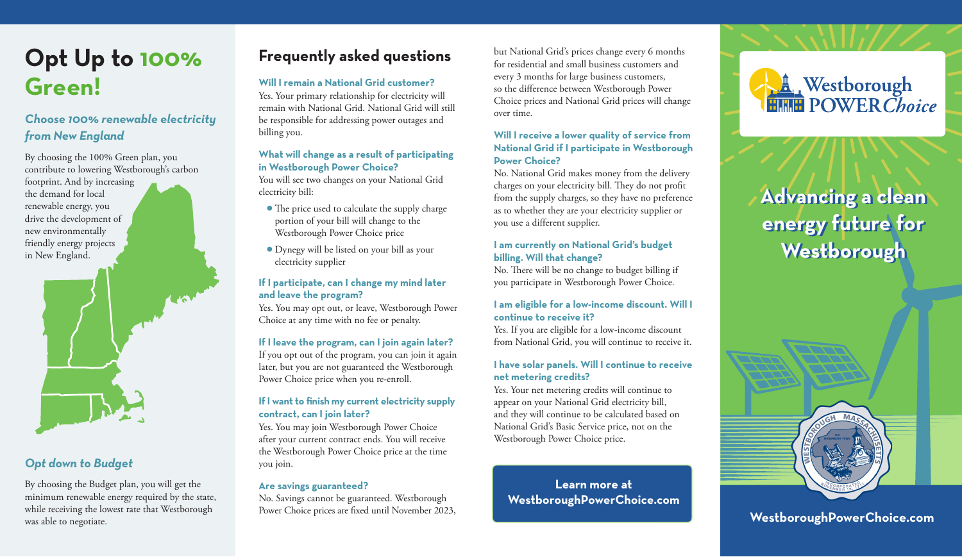# **Opt Up to 100% Green!**

## *Choose 100% renewable electricity from New England*

By choosing the 100% Green plan, you contribute to lowering Westborough's carbon footprint. And by increasing the demand for local renewable energy, you drive the development of new environmentally friendly energy projects in New England.



### *Opt down to Budget*

By choosing the Budget plan, you will get the minimum renewable energy required by the state, while receiving the lowest rate that Westborough was able to negotiate.

# **Frequently asked questions**

#### **Will I remain a National Grid customer?**

Yes. Your primary relationship for electricity will remain with National Grid. National Grid will still be responsible for addressing power outages and billing you.

#### **What will change as a result of participating in Westborough Power Choice?**

You will see two changes on your National Grid electricity bill:

- The price used to calculate the supply charge portion of your bill will change to the Westborough Power Choice price
- Dynegy will be listed on your bill as your electricity supplier

#### **If I participate, can I change my mind later and leave the program?**

Yes. You may opt out, or leave, Westborough Power Choice at any time with no fee or penalty.

#### **If I leave the program, can I join again later?**

If you opt out of the program, you can join it again later, but you are not guaranteed the Westborough Power Choice price when you re-enroll.

#### **If I want to finish my current electricity supply contract, can I join later?**

Yes. You may join Westborough Power Choice after your current contract ends. You will receive the Westborough Power Choice price at the time you join.

#### **Are savings guaranteed?**

No. Savings cannot be guaranteed. Westborough Power Choice prices are fixed until November 2023, **WestboroughPowerChoice.com** 

but National Grid's prices change every 6 months for residential and small business customers and every 3 months for large business customers, so the difference between Westborough Power Choice prices and National Grid prices will change over time.

#### **Will I receive a lower quality of service from National Grid if I participate in Westborough Power Choice?**

No. National Grid makes money from the delivery charges on your electricity bill. They do not profit from the supply charges, so they have no preference as to whether they are your electricity supplier or you use a different supplier.

#### **I am currently on National Grid's budget billing. Will that change?**

No. There will be no change to budget billing if you participate in Westborough Power Choice.

#### **I am eligible for a low-income discount. Will I continue to receive it?**

Yes. If you are eligible for a low-income discount from National Grid, you will continue to receive it.

#### **I have solar panels. Will I continue to receive net metering credits?**

Yes. Your net metering credits will continue to appear on your National Grid electricity bill, and they will continue to be calculated based on National Grid's Basic Service price, not on the Westborough Power Choice price.

**Learn more at WestboroughPowerChoice.com**



# **Advancing a clean Advancing a clean energy future for energy future for Westborough Westborough**